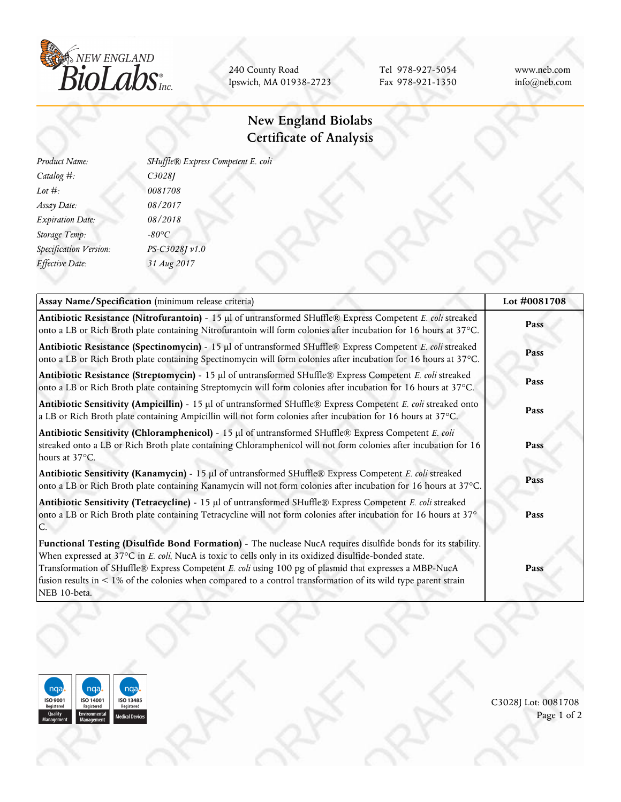

240 County Road Ipswich, MA 01938-2723

Tel 978-927-5054 Fax 978-921-1350 www.neb.com info@neb.com

## **New England Biolabs Certificate of Analysis**

| Product Name:                 | SHuffle® Express Competent E. coli |
|-------------------------------|------------------------------------|
| Catalog #:                    | C3028J                             |
| Lot $#$ :                     | 0081708                            |
| Assay Date:                   | 08/2017                            |
| <b>Expiration Date:</b>       | 08/2018                            |
| Storage Temp:                 | $-80^{\circ}C$                     |
| <b>Specification Version:</b> | PS-C3028J v1.0                     |
| Effective Date:               | 31 Aug 2017                        |
|                               |                                    |

| Assay Name/Specification (minimum release criteria)                                                                                                                                                                                                                                                                                                                                                                                                                       | Lot #0081708 |
|---------------------------------------------------------------------------------------------------------------------------------------------------------------------------------------------------------------------------------------------------------------------------------------------------------------------------------------------------------------------------------------------------------------------------------------------------------------------------|--------------|
| Antibiotic Resistance (Nitrofurantoin) - 15 µl of untransformed SHuffle® Express Competent E. coli streaked<br>onto a LB or Rich Broth plate containing Nitrofurantoin will form colonies after incubation for 16 hours at 37°C.                                                                                                                                                                                                                                          | Pass         |
| Antibiotic Resistance (Spectinomycin) - 15 µl of untransformed SHuffle® Express Competent E. coli streaked<br>onto a LB or Rich Broth plate containing Spectinomycin will form colonies after incubation for 16 hours at 37°C.                                                                                                                                                                                                                                            | Pass         |
| Antibiotic Resistance (Streptomycin) - 15 µl of untransformed SHuffle® Express Competent E. coli streaked<br>onto a LB or Rich Broth plate containing Streptomycin will form colonies after incubation for 16 hours at 37°C.                                                                                                                                                                                                                                              | Pass         |
| Antibiotic Sensitivity (Ampicillin) - 15 µl of untransformed SHuffle® Express Competent E. coli streaked onto<br>a LB or Rich Broth plate containing Ampicillin will not form colonies after incubation for 16 hours at 37°C.                                                                                                                                                                                                                                             | Pass         |
| Antibiotic Sensitivity (Chloramphenicol) - 15 µl of untransformed SHuffle® Express Competent E. coli<br>streaked onto a LB or Rich Broth plate containing Chloramphenicol will not form colonies after incubation for 16<br>hours at 37°C.                                                                                                                                                                                                                                | Pass         |
| Antibiotic Sensitivity (Kanamycin) - 15 µl of untransformed SHuffle® Express Competent E. coli streaked<br>onto a LB or Rich Broth plate containing Kanamycin will not form colonies after incubation for 16 hours at 37°C.                                                                                                                                                                                                                                               | Pass         |
| Antibiotic Sensitivity (Tetracycline) - 15 µl of untransformed SHuffle® Express Competent E. coli streaked<br>onto a LB or Rich Broth plate containing Tetracycline will not form colonies after incubation for 16 hours at 37°                                                                                                                                                                                                                                           | Pass         |
| Functional Testing (Disulfide Bond Formation) - The nuclease NucA requires disulfide bonds for its stability.<br>When expressed at 37°C in E. coli, NucA is toxic to cells only in its oxidized disulfide-bonded state.<br>Transformation of SHuffle® Express Competent E. coli using 100 pg of plasmid that expresses a MBP-NucA<br>fusion results in $\lt 1\%$ of the colonies when compared to a control transformation of its wild type parent strain<br>NEB 10-beta. | Pass         |



C3028J Lot: 0081708 Page 1 of 2